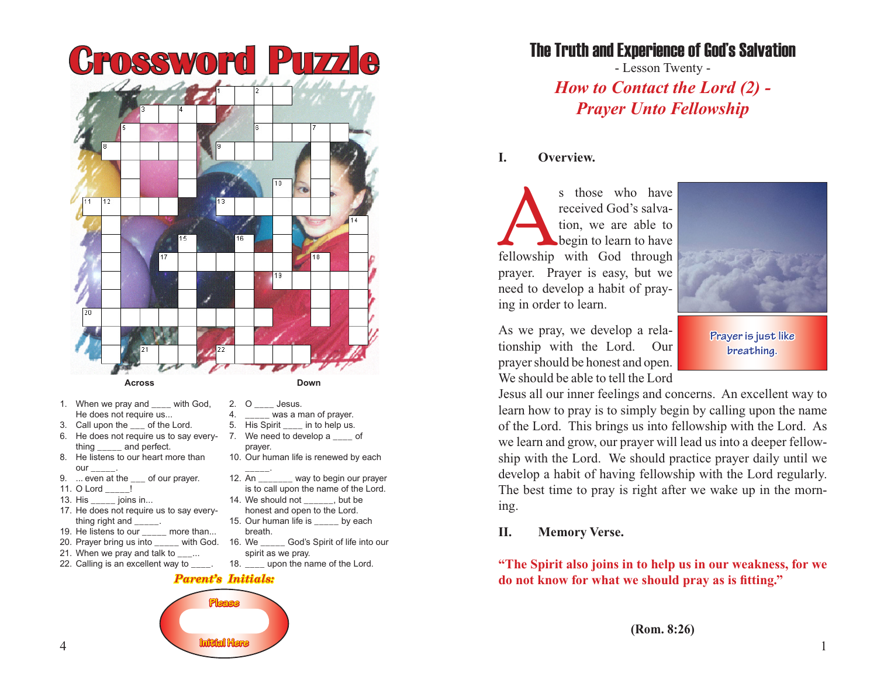

- 1. When we pray and with God, He does not require us...
- 3. Call upon the \_\_\_ of the Lord.
- 6. He does not require us to say everything and perfect.
- 8. He listens to our heart more than our  $\overline{a}$
- 9. ... even at the \_\_\_ of our prayer.
- 11. O Lord \_\_\_\_\_!
- 13. His \_\_\_\_\_ joins in...
- 17. He does not require us to say everything right and \_\_\_\_\_\_.
- 19. He listens to our \_\_\_\_\_ more than...
- 20. Prayer bring us into \_\_\_\_\_ with God. 16. We
- 21. When we pray and talk to \_\_\_...
- 22. Calling is an excellent way to \_\_\_\_.

#### *Parent's Initials:*

4. was a man of prayer. 5. His Spirit \_\_\_\_ in to help us. 7. We need to develop a \_\_\_\_ of

10. Our human life is renewed by each

12. An \_\_\_\_\_\_\_ way to begin our prayer is to call upon the name of the Lord.

God's Spirit of life into our

14. We should not but be honest and open to the Lord. 15. Our human life is \_\_\_\_\_ by each

18. \_\_\_\_ upon the name of the Lord.

prayer.

\_\_\_\_\_.

breath.

spirit as we pray.



The Truth and Experience of God's Salvation

- Lesson Twenty - *How to Contact the Lord (2) - Prayer Unto Fellowship*

#### **I. Overview.**

s those who have<br>
received God's salva-<br>
tion, we are able to<br>
begin to learn to have<br>
fellowship with God through received God's salvation, we are able to begin to learn to have prayer. Prayer is easy, but we need to develop a habit of praying in order to learn.

As we pray, we develop a relationship with the Lord. Our prayer should be honest and open. We should be able to tell the Lord



**Prayer is just like breathing.**

Jesus all our inner feelings and concerns. An excellent way to learn how to pray is to simply begin by calling upon the name of the Lord. This brings us into fellowship with the Lord. As we learn and grow, our prayer will lead us into a deeper fellowship with the Lord. We should practice prayer daily until we develop a habit of having fellowship with the Lord regularly. The best time to pray is right after we wake up in the morning.

## **II. Memory Verse.**

**"The Spirit also joins in to help us in our weakness, for we do not know for what we should pray as is fitting."**